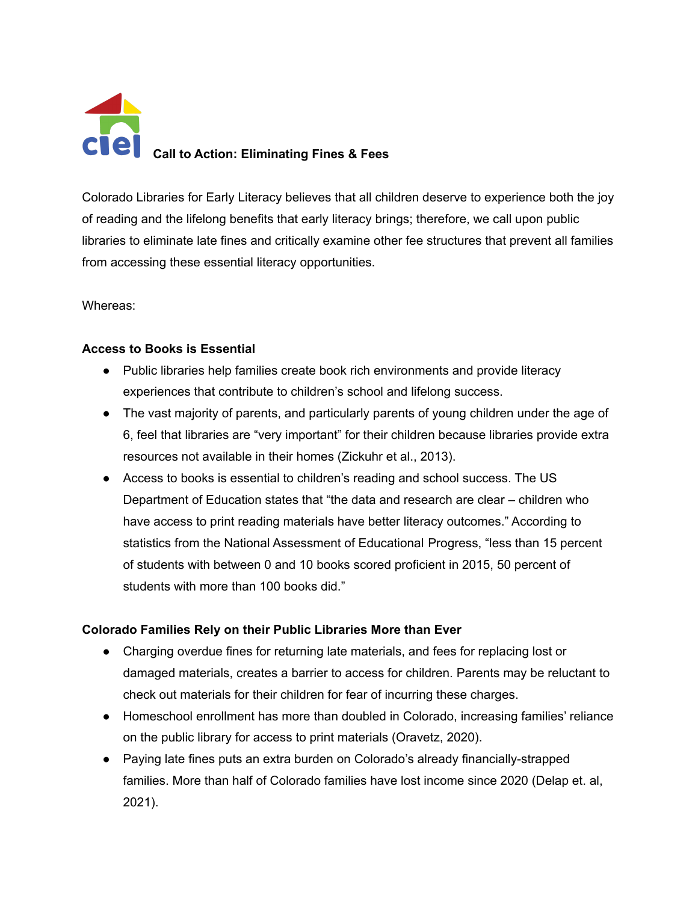

Colorado Libraries for Early Literacy believes that all children deserve to experience both the joy of reading and the lifelong benefits that early literacy brings; therefore, we call upon public libraries to eliminate late fines and critically examine other fee structures that prevent all families from accessing these essential literacy opportunities.

Whereas:

# **Access to Books is Essential**

- Public libraries help families create book rich environments and provide literacy experiences that contribute to children's school and lifelong success.
- The vast majority of parents, and particularly parents of young children under the age of 6, feel that libraries are "very important" for their children because libraries provide extra resources not available in their homes (Zickuhr et al., 2013).
- Access to books is essential to children's reading and school success. The US Department of Education states that "the data and research are clear – children who have access to print reading materials have better literacy outcomes." According to statistics from the National Assessment of Educational Progress, "less than 15 percent of students with between 0 and 10 books scored proficient in 2015, 50 percent of students with more than 100 books did."

# **Colorado Families Rely on their Public Libraries More than Ever**

- Charging overdue fines for returning late materials, and fees for replacing lost or damaged materials, creates a barrier to access for children. Parents may be reluctant to check out materials for their children for fear of incurring these charges.
- Homeschool enrollment has more than doubled in Colorado, increasing families' reliance on the public library for access to print materials (Oravetz, 2020).
- Paying late fines puts an extra burden on Colorado's already financially-strapped families. More than half of Colorado families have lost income since 2020 (Delap et. al, 2021).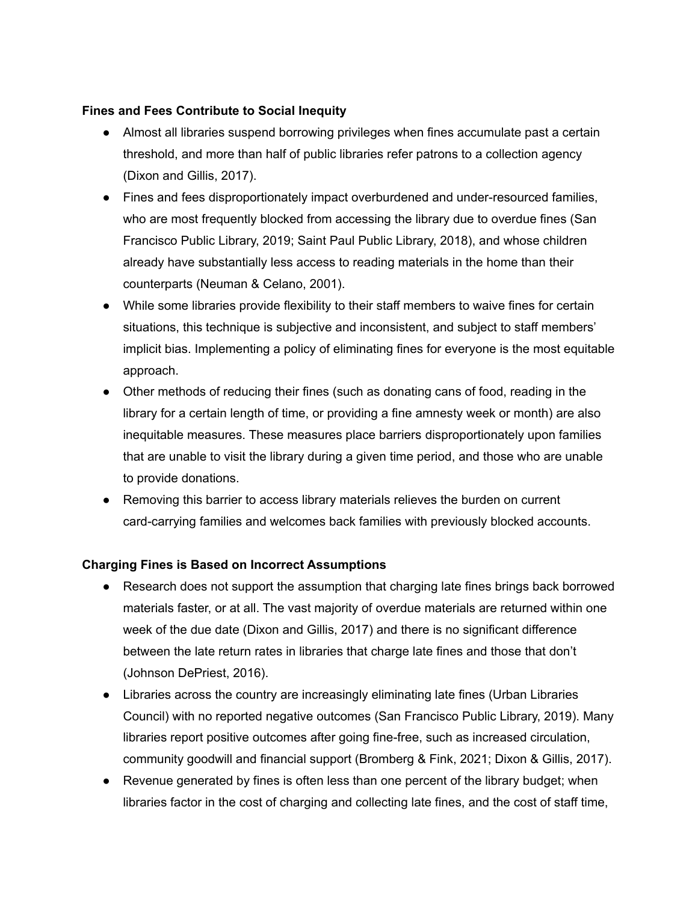## **Fines and Fees Contribute to Social Inequity**

- Almost all libraries suspend borrowing privileges when fines accumulate past a certain threshold, and more than half of public libraries refer patrons to a collection agency (Dixon and Gillis, 2017).
- Fines and fees disproportionately impact overburdened and under-resourced families, who are most frequently blocked from accessing the library due to overdue fines (San Francisco Public Library, 2019; Saint Paul Public Library, 2018), and whose children already have substantially less access to reading materials in the home than their counterparts (Neuman & Celano, 2001).
- While some libraries provide flexibility to their staff members to waive fines for certain situations, this technique is subjective and inconsistent, and subject to staff members' implicit bias. Implementing a policy of eliminating fines for everyone is the most equitable approach.
- Other methods of reducing their fines (such as donating cans of food, reading in the library for a certain length of time, or providing a fine amnesty week or month) are also inequitable measures. These measures place barriers disproportionately upon families that are unable to visit the library during a given time period, and those who are unable to provide donations.
- Removing this barrier to access library materials relieves the burden on current card-carrying families and welcomes back families with previously blocked accounts.

# **Charging Fines is Based on Incorrect Assumptions**

- Research does not support the assumption that charging late fines brings back borrowed materials faster, or at all. The vast majority of overdue materials are returned within one week of the due date (Dixon and Gillis, 2017) and there is no significant difference between the late return rates in libraries that charge late fines and those that don't (Johnson DePriest, 2016).
- Libraries across the country are increasingly eliminating late fines (Urban Libraries Council) with no reported negative outcomes (San Francisco Public Library, 2019). Many libraries report positive outcomes after going fine-free, such as increased circulation, community goodwill and financial support (Bromberg & Fink, 2021; Dixon & Gillis, 2017).
- Revenue generated by fines is often less than one percent of the library budget; when libraries factor in the cost of charging and collecting late fines, and the cost of staff time,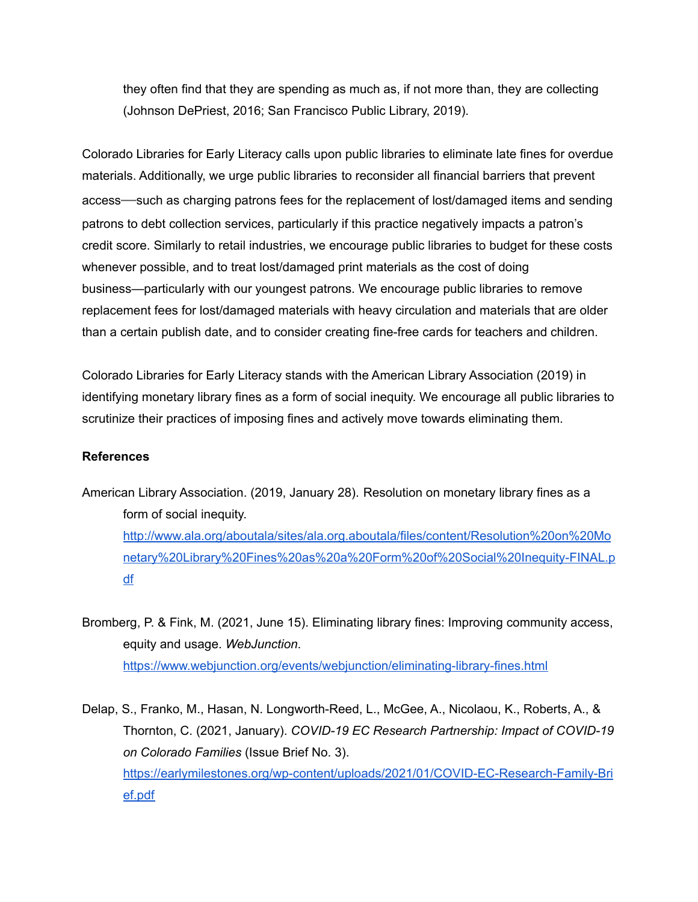they often find that they are spending as much as, if not more than, they are collecting (Johnson DePriest, 2016; San Francisco Public Library, 2019).

Colorado Libraries for Early Literacy calls upon public libraries to eliminate late fines for overdue materials. Additionally, we urge public libraries to reconsider all financial barriers that prevent access—such as charging patrons fees for the replacement of lost/damaged items and sending patrons to debt collection services, particularly if this practice negatively impacts a patron's credit score. Similarly to retail industries, we encourage public libraries to budget for these costs whenever possible, and to treat lost/damaged print materials as the cost of doing business—particularly with our youngest patrons. We encourage public libraries to remove replacement fees for lost/damaged materials with heavy circulation and materials that are older than a certain publish date, and to consider creating fine-free cards for teachers and children.

Colorado Libraries for Early Literacy stands with the American Library Association (2019) in identifying monetary library fines as a form of social inequity. We encourage all public libraries to scrutinize their practices of imposing fines and actively move towards eliminating them.

## **References**

American Library Association. (2019, January 28). Resolution on monetary library fines as a form of social inequity. [http://www.ala.org/aboutala/sites/ala.org.aboutala/files/content/Resolution%20on%20Mo](http://www.ala.org/aboutala/sites/ala.org.aboutala/files/content/Resolution%20on%20Monetary%20Library%20Fines%20as%20a%20Form%20of%20Social%20Inequity-FINAL.pdf) [netary%20Library%20Fines%20as%20a%20Form%20of%20Social%20Inequity-FINAL.p](http://www.ala.org/aboutala/sites/ala.org.aboutala/files/content/Resolution%20on%20Monetary%20Library%20Fines%20as%20a%20Form%20of%20Social%20Inequity-FINAL.pdf) [df](http://www.ala.org/aboutala/sites/ala.org.aboutala/files/content/Resolution%20on%20Monetary%20Library%20Fines%20as%20a%20Form%20of%20Social%20Inequity-FINAL.pdf)

Bromberg, P. & Fink, M. (2021, June 15). Eliminating library fines: Improving community access, equity and usage. *WebJunction*. <https://www.webjunction.org/events/webjunction/eliminating-library-fines.html>

Delap, S., Franko, M., Hasan, N. Longworth-Reed, L., McGee, A., Nicolaou, K., Roberts, A., & Thornton, C. (2021, January). *COVID-19 EC Research Partnership: Impact of COVID-19 on Colorado Families* (Issue Brief No. 3). [https://earlymilestones.org/wp-content/uploads/2021/01/COVID-EC-Research-Family-Bri](https://earlymilestones.org/wp-content/uploads/2021/01/COVID-EC-Research-Family-Brief.pdf) [ef.pdf](https://earlymilestones.org/wp-content/uploads/2021/01/COVID-EC-Research-Family-Brief.pdf)